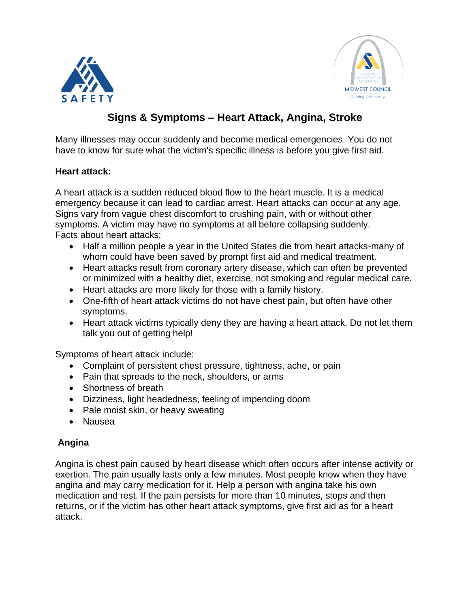



# **Signs & Symptoms – Heart Attack, Angina, Stroke**

Many illnesses may occur suddenly and become medical emergencies. You do not have to know for sure what the victim's specific illness is before you give first aid.

### **Heart attack:**

A heart attack is a sudden reduced blood flow to the heart muscle. It is a medical emergency because it can lead to cardiac arrest. Heart attacks can occur at any age. Signs vary from vague chest discomfort to crushing pain, with or without other symptoms. A victim may have no symptoms at all before collapsing suddenly. Facts about heart attacks:

- Half a million people a year in the United States die from heart attacks-many of whom could have been saved by prompt first aid and medical treatment.
- Heart attacks result from coronary artery disease, which can often be prevented or minimized with a healthy diet, exercise, not smoking and regular medical care.
- Heart attacks are more likely for those with a family history.
- One-fifth of heart attack victims do not have chest pain, but often have other symptoms.
- Heart attack victims typically deny they are having a heart attack. Do not let them talk you out of getting help!

Symptoms of heart attack include:

- Complaint of persistent chest pressure, tightness, ache, or pain
- Pain that spreads to the neck, shoulders, or arms
- Shortness of breath
- Dizziness, light headedness, feeling of impending doom
- Pale moist skin, or heavy sweating
- Nausea

## **Angina**

Angina is chest pain caused by heart disease which often occurs after intense activity or exertion. The pain usually lasts only a few minutes. Most people know when they have angina and may carry medication for it. Help a person with angina take his own medication and rest. If the pain persists for more than 10 minutes, stops and then returns, or if the victim has other heart attack symptoms, give first aid as for a heart attack.